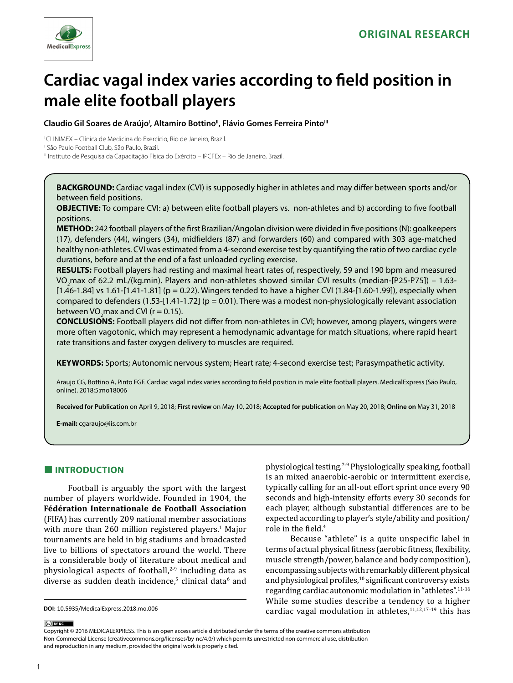

# **Cardiac vagal index varies according to field position in male elite football players**

### Claudio Gil Soares de Araújo<sup>ı</sup>, Altamiro Bottino", Flávio Gomes Ferreira Pinto'''

I CLINIMEX – Clínica de Medicina do Exercício, Rio de Janeiro, Brazil.

<sup>II</sup> São Paulo Football Club, São Paulo, Brazil.

III Instituto de Pesquisa da Capacitação Física do Exército – IPCFEx – Rio de Janeiro, Brazil.

**BACKGROUND:** Cardiac vagal index (CVI) is supposedly higher in athletes and may differ between sports and/or between field positions.

**OBJECTIVE:** To compare CVI: a) between elite football players vs. non-athletes and b) according to five football positions.

**METHOD:** 242 football players of the first Brazilian/Angolan division were divided in five positions (N): goalkeepers (17), defenders (44), wingers (34), midfielders (87) and forwarders (60) and compared with 303 age-matched healthy non-athletes. CVI was estimated from a 4-second exercise test by quantifying the ratio of two cardiac cycle durations, before and at the end of a fast unloaded cycling exercise.

**RESULTS:** Football players had resting and maximal heart rates of, respectively, 59 and 190 bpm and measured VO<sub>2</sub>max of 62.2 mL/(kg.min). Players and non-athletes showed similar CVI results (median-[P25-P75]) – 1.63-[1.46-1.84] vs 1.61-[1.41-1.81] (p = 0.22). Wingers tended to have a higher CVI (1.84-[1.60-1.99]), especially when compared to defenders (1.53-[1.41-1.72] ( $p = 0.01$ ). There was a modest non-physiologically relevant association between VO<sub>2</sub>max and CVI ( $r = 0.15$ ).

**CONCLUSIONS:** Football players did not differ from non-athletes in CVI; however, among players, wingers were more often vagotonic, which may represent a hemodynamic advantage for match situations, where rapid heart rate transitions and faster oxygen delivery to muscles are required.

**KEYWORDS:** Sports; Autonomic nervous system; Heart rate; 4-second exercise test; Parasympathetic activity.

Araujo CG, Bottino A, Pinto FGF. Cardiac vagal index varies according to field position in male elite football players. MedicalExpress (São Paulo, online). 2018;5:mo18006

**Received for Publication** on April 9, 2018; **First review** on May 10, 2018; **Accepted for publication** on May 20, 2018; **Online on** May 31, 2018

**E-mail:** cgaraujo@iis.com.br

# **■ INTRODUCTION**

Football is arguably the sport with the largest number of players worldwide. Founded in 1904, the **Fédération Internationale de Football Association** (FIFA) has currently 209 national member associations with more than 260 million registered players.<sup>1</sup> Major tournaments are held in big stadiums and broadcasted live to billions of spectators around the world. There is a considerable body of literature about medical and physiological aspects of football, $2-9$  including data as diverse as sudden death incidence,<sup>5</sup> clinical data<sup>6</sup> and physiological testing.7-9 Physiologically speaking, football is an mixed anaerobic-aerobic or intermittent exercise, typically calling for an all-out effort sprint once every 90 seconds and high-intensity efforts every 30 seconds for each player, although substantial differences are to be expected according to player's style/ability and position/ role in the field.<sup>4</sup>

Because "athlete" is a quite unspecific label in terms of actual physical fitness (aerobic fitness, flexibility, muscle strength/power, balance and body composition), encompassing subjects with remarkably different physical and physiological profiles, $10$  significant controversy exists regarding cardiac autonomic modulation in "athletes".11-16 While some studies describe a tendency to a higher cardiac vagal modulation in athletes, $11,12,17-19$  this has

Copyright © 2016 MEDICALEXPRESS. This is an open access article distributed under the terms of the creative commons attribution Non-Commercial License [\(creativecommons.org/licenses/by-nc/4.0/\)](http://creativecommons.org/licenses/by-nc/3.0/) which permits unrestricted non commercial use, distribution and reproduction in any medium, provided the original work is properly cited.

(ce) BY-NC

**DOI:** 10.5935/MedicalExpress.2018.mo.006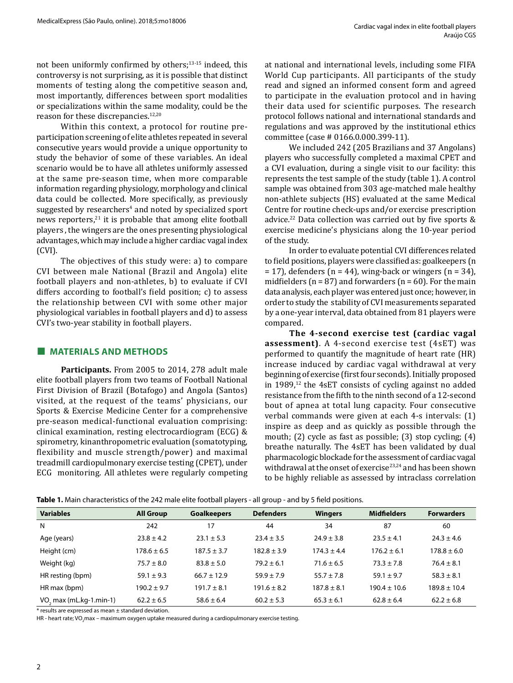not been uniformly confirmed by others;13-15 indeed, this controversy is not surprising, as it is possible that distinct moments of testing along the competitive season and, most importantly, differences between sport modalities or specializations within the same modality, could be the reason for these discrepancies.<sup>12,20</sup>

Within this context, a protocol for routine preparticipation screening of elite athletes repeated in several consecutive years would provide a unique opportunity to study the behavior of some of these variables. An ideal scenario would be to have all athletes uniformly assessed at the same pre-season time, when more comparable information regarding physiology, morphology and clinical data could be collected. More specifically, as previously suggested by researchers<sup>4</sup> and noted by specialized sport news reporters, $^{21}$  it is probable that among elite football players , the wingers are the ones presenting physiological advantages, which may include a higher cardiac vagal index (CVI).

The objectives of this study were: a) to compare CVI between male National (Brazil and Angola) elite football players and non-athletes, b) to evaluate if CVI differs according to football's field position; c) to assess the relationship between CVI with some other major physiological variables in football players and d) to assess CVI's two-year stability in football players.

### **■ MATERIALS AND METHODS**

**Participants.** From 2005 to 2014, 278 adult male elite football players from two teams of Football National First Division of Brazil (Botafogo) and Angola (Santos) visited, at the request of the teams' physicians, our Sports & Exercise Medicine Center for a comprehensive pre-season medical-functional evaluation comprising: clinical examination, resting electrocardiogram (ECG) & spirometry, kinanthropometric evaluation (somatotyping, flexibility and muscle strength/power) and maximal treadmill cardiopulmonary exercise testing (CPET), under ECG monitoring. All athletes were regularly competing at national and international levels, including some FIFA World Cup participants. All participants of the study read and signed an informed consent form and agreed to participate in the evaluation protocol and in having their data used for scientific purposes. The research protocol follows national and international standards and regulations and was approved by the institutional ethics committee (case # 0166.0.000.399-11).

We included 242 (205 Brazilians and 37 Angolans) players who successfully completed a maximal CPET and a CVI evaluation, during a single visit to our facility: this represents the test sample of the study (table 1). A control sample was obtained from 303 age-matched male healthy non-athlete subjects (HS) evaluated at the same Medical Centre for routine check-ups and/or exercise prescription advice.<sup>22</sup> Data collection was carried out by five sports & exercise medicine's physicians along the 10-year period of the study.

In order to evaluate potential CVI differences related to field positions, players were classified as: goalkeepers (n  $= 17$ ), defenders (n = 44), wing-back or wingers (n = 34), midfielders ( $n = 87$ ) and forwarders ( $n = 60$ ). For the main data analysis, each player was entered just once; however, in order to study the stability of CVI measurements separated by a one-year interval, data obtained from 81 players were compared.

**The 4-second exercise test (cardiac vagal assessment)**. A 4-second exercise test (4sET) was performed to quantify the magnitude of heart rate (HR) increase induced by cardiac vagal withdrawal at very beginning of exercise (first four seconds). Initially proposed in 1989, $^{12}$  the 4sET consists of cycling against no added resistance from the fifth to the ninth second of a 12-second bout of apnea at total lung capacity. Four consecutive verbal commands were given at each 4-s intervals: (1) inspire as deep and as quickly as possible through the mouth; (2) cycle as fast as possible; (3) stop cycling; (4) breathe naturally. The 4sET has been validated by dual pharmacologic blockade for the assessment of cardiac vagal withdrawal at the onset of exercise<sup>23,24</sup> and has been shown to be highly reliable as assessed by intraclass correlation

| <b>Variables</b>          | <b>All Group</b> | <b>Goalkeepers</b> | <b>Defenders</b> | <b>Wingers</b>  | <b>Midfielders</b> | <b>Forwarders</b> |
|---------------------------|------------------|--------------------|------------------|-----------------|--------------------|-------------------|
| N                         | 242              | 17                 | 44               | 34              | 87                 | 60                |
| Age (years)               | $23.8 \pm 4.2$   | $23.1 \pm 5.3$     | $23.4 \pm 3.5$   | $24.9 \pm 3.8$  | $23.5 \pm 4.1$     | $24.3 \pm 4.6$    |
| Height (cm)               | $178.6 \pm 6.5$  | $187.5 \pm 3.7$    | $182.8 \pm 3.9$  | $174.3 \pm 4.4$ | $176.2 \pm 6.1$    | $178.8 \pm 6.0$   |
| Weight (kg)               | $75.7 \pm 8.0$   | $83.8 \pm 5.0$     | $79.2 \pm 6.1$   | $71.6 \pm 6.5$  | $73.3 \pm 7.8$     | $76.4 \pm 8.1$    |
| HR resting (bpm)          | $59.1 \pm 9.3$   | $66.7 \pm 12.9$    | $59.9 \pm 7.9$   | $55.7 \pm 7.8$  | $59.1 \pm 9.7$     | $58.3 \pm 8.1$    |
| HR max (bpm)              | $190.2 \pm 9.7$  | $191.7 \pm 8.1$    | $191.6 \pm 8.2$  | $187.8 \pm 8.1$ | $190.4 \pm 10.6$   | $189.8 \pm 10.4$  |
| $VOs$ max (mL.kg-1.min-1) | $62.2 \pm 6.5$   | $58.6 \pm 6.4$     | $60.2 \pm 5.3$   | $65.3 \pm 6.1$  | $62.8 \pm 6.4$     | $62.2 \pm 6.8$    |

**Table 1.** Main characteristics of the 242 male elite football players - all group - and by 5 field positions.

\* results are expressed as mean ± standard deviation.

HR - heart rate; VO<sub>2</sub>max – maximum oxygen uptake measured during a cardiopulmonary exercise testing.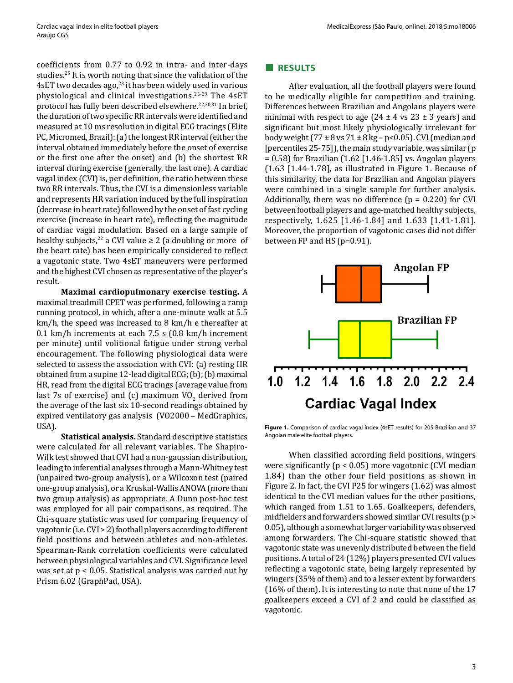coefficients from 0.77 to 0.92 in intra- and inter-days studies.<sup>25</sup> It is worth noting that since the validation of the 4sET two decades ago, $^{23}$  it has been widely used in various physiological and clinical investigations.26-29 The 4sET protocol has fully been described elsewhere.<sup>22,30,31</sup> In brief, the duration of two specific RR intervals were identified and measured at 10 ms resolution in digital ECG tracings (Elite PC, Micromed, Brazil): (a) the longest RR interval (either the interval obtained immediately before the onset of exercise or the first one after the onset) and (b) the shortest RR interval during exercise (generally, the last one). A cardiac vagal index (CVI) is, per definition, the ratio between these two RR intervals. Thus, the CVI is a dimensionless variable and represents HR variation induced by the full inspiration (decrease in heart rate) followed by the onset of fast cycling exercise (increase in heart rate), reflecting the magnitude of cardiac vagal modulation. Based on a large sample of healthy subjects,<sup>22</sup> a CVI value  $\geq$  2 (a doubling or more of the heart rate) has been empirically considered to reflect a vagotonic state. Two 4sET maneuvers were performed and the highest CVI chosen as representative of the player's result.

**Maximal cardiopulmonary exercise testing.** A maximal treadmill CPET was performed, following a ramp running protocol, in which, after a one-minute walk at 5.5 km/h, the speed was increased to 8 km/h e thereafter at 0.1 km/h increments at each 7.5 s (0.8 km/h increment per minute) until volitional fatigue under strong verbal encouragement. The following physiological data were selected to assess the association with CVI: (a) resting HR obtained from a supine 12-lead digital ECG; (b); (b) maximal HR, read from the digital ECG tracings (average value from last 7s of exercise) and (c) maximum  $VO_2$  derived from the average of the last six 10-second readings obtained by expired ventilatory gas analysis (VO2000 – MedGraphics, USA).

**Statistical analysis.** Standard descriptive statistics were calculated for all relevant variables. The Shapiro-Wilk test showed that CVI had a non-gaussian distribution, leading to inferential analyses through a Mann-Whitney test (unpaired two-group analysis), or a Wilcoxon test (paired one-group analysis), or a Kruskal-Wallis ANOVA (more than two group analysis) as appropriate. A Dunn post-hoc test was employed for all pair comparisons, as required. The Chi-square statistic was used for comparing frequency of vagotonic (i.e. CVI > 2) football players according to different field positions and between athletes and non-athletes. Spearman-Rank correlation coefficients were calculated between physiological variables and CVI. Significance level was set at p < 0.05. Statistical analysis was carried out by Prism 6.02 (GraphPad, USA).

## **■ RESULTS**

After evaluation, all the football players were found to be medically eligible for competition and training. Differences between Brazilian and Angolans players were minimal with respect to age  $(24 \pm 4 \text{ vs } 23 \pm 3 \text{ years})$  and significant but most likely physiologically irrelevant for body weight (77  $\pm$  8 vs 71  $\pm$  8 kg – p<0.05). CVI (median and [percentiles 25-75]), the main study variable, was similar (p  $= 0.58$ ) for Brazilian (1.62 [1.46-1.85] vs. Angolan players (1.63 [1.44-1.78], as illustrated in Figure 1. Because of this similarity, the data for Brazilian and Angolan players were combined in a single sample for further analysis. Additionally, there was no difference  $(p = 0.220)$  for CVI between football players and age-matched healthy subjects, respectively, 1.625 [1.46-1.84] and 1.633 [1.41-1.81]. Moreover, the proportion of vagotonic cases did not differ between FP and HS (p=0.91).



**Figure 1.** Comparison of cardiac vagal index (4sET results) for 205 Brazilian and 37 Angolan male elite football players.

When classified according field positions, wingers were significantly (p < 0.05) more vagotonic (CVI median 1.84) than the other four field positions as shown in Figure 2. In fact, the CVI P25 for wingers (1.62) was almost identical to the CVI median values for the other positions, which ranged from 1.51 to 1.65. Goalkeepers, defenders, midfielders and forwarders showed similar CVI results (p > 0.05), although a somewhat larger variability was observed among forwarders. The Chi-square statistic showed that vagotonic state was unevenly distributed between the field positions. A total of 24 (12%) players presented CVI values reflecting a vagotonic state, being largely represented by wingers (35% of them) and to a lesser extent by forwarders (16% of them). It is interesting to note that none of the 17 goalkeepers exceed a CVI of 2 and could be classified as vagotonic.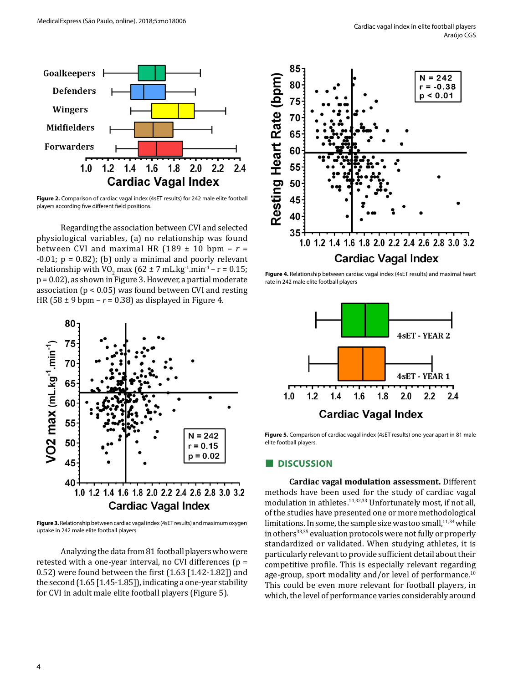

**Figure 2.** Comparison of cardiac vagal index (4sET results) for 242 male elite football players according five different field positions.

Regarding the association between CVI and selected physiological variables, (a) no relationship was found between CVI and maximal HR  $(189 \pm 10)$  bpm -  $r =$  $-0.01$ ;  $p = 0.82$ ); (b) only a minimal and poorly relevant relationship with  $VO_2$  max (62 ± 7 mL.kg<sup>-1</sup>.min<sup>-1</sup> – r = 0.15; p = 0.02), as shown in Figure 3. However, a partial moderate association ( $p < 0.05$ ) was found between CVI and resting HR (58  $\pm$  9 bpm –  $r = 0.38$ ) as displayed in Figure 4.



**Figure 3.** Relationship between cardiac vagal index (4sET results) and maximum oxygen uptake in 242 male elite football players

Analyzing the data from 81 football players who were retested with a one-year interval, no CVI differences (p = 0.52) were found between the first (1.63 [1.42-1.82]) and the second (1.65 [1.45-1.85]), indicating a one-year stability for CVI in adult male elite football players (Figure 5).



**Figure 4.** Relationship between cardiac vagal index (4sET results) and maximal heart rate in 242 male elite football players



**Figure 5.** Comparison of cardiac vagal index (4sET results) one-year apart in 81 male elite football players.

#### **■ DISCUSSION**

**Cardiac vagal modulation assessment.** Different methods have been used for the study of cardiac vagal modulation in athletes.<sup>11,32,33</sup> Unfortunately most, if not all, of the studies have presented one or more methodological limitations. In some, the sample size was too small, $11,34$  while in others<sup>33,35</sup> evaluation protocols were not fully or properly standardized or validated. When studying athletes, it is particularly relevant to provide sufficient detail about their competitive profile. This is especially relevant regarding age-group, sport modality and/or level of performance.<sup>10</sup> This could be even more relevant for football players, in which, the level of performance varies considerably around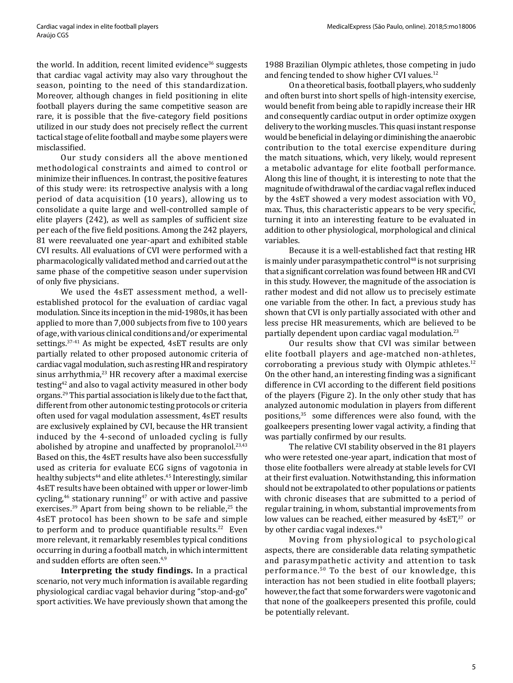the world. In addition, recent limited evidence<sup>36</sup> suggests that cardiac vagal activity may also vary throughout the season, pointing to the need of this standardization. Moreover, although changes in field positioning in elite football players during the same competitive season are rare, it is possible that the five-category field positions utilized in our study does not precisely reflect the current tactical stage of elite football and maybe some players were misclassified.

Our study considers all the above mentioned methodological constraints and aimed to control or minimize their influences. In contrast, the positive features of this study were: its retrospective analysis with a long period of data acquisition (10 years), allowing us to consolidate a quite large and well-controlled sample of elite players (242), as well as samples of sufficient size per each of the five field positions. Among the 242 players, 81 were reevaluated one year-apart and exhibited stable CVI results. All evaluations of CVI were performed with a pharmacologically validated method and carried out at the same phase of the competitive season under supervision of only five physicians.

We used the 4sET assessment method, a wellestablished protocol for the evaluation of cardiac vagal modulation. Since its inception in the mid-1980s, it has been applied to more than 7,000 subjects from five to 100 years of age, with various clinical conditions and/or experimental settings.37-41 As might be expected, 4sET results are only partially related to other proposed autonomic criteria of cardiac vagal modulation, such as resting HR and respiratory sinus arrhythmia,<sup>23</sup> HR recovery after a maximal exercise testing42 and also to vagal activity measured in other body organs.29 This partial association is likely due to the fact that, different from other autonomic testing protocols or criteria often used for vagal modulation assessment, 4sET results are exclusively explained by CVI, because the HR transient induced by the 4-second of unloaded cycling is fully abolished by atropine and unaffected by propranolol.<sup>23,43</sup> Based on this, the 4sET results have also been successfully used as criteria for evaluate ECG signs of vagotonia in healthy subjects<sup>44</sup> and elite athletes.<sup>45</sup> Interestingly, similar 4sET results have been obtained with upper or lower-limb cycling, $46$  stationary running $47$  or with active and passive exercises.<sup>39</sup> Apart from being shown to be reliable,<sup>25</sup> the 4sET protocol has been shown to be safe and simple to perform and to produce quantifiable results. $22$  Even more relevant, it remarkably resembles typical conditions occurring in during a football match, in which intermittent and sudden efforts are often seen.<sup>4,9</sup>

**Interpreting the study findings.** In a practical scenario, not very much information is available regarding physiological cardiac vagal behavior during "stop-and-go" sport activities. We have previously shown that among the 1988 Brazilian Olympic athletes, those competing in judo and fencing tended to show higher CVI values.<sup>12</sup>

On a theoretical basis, football players, who suddenly and often burst into short spells of high-intensity exercise, would benefit from being able to rapidly increase their HR and consequently cardiac output in order optimize oxygen delivery to the working muscles. This quasi instant response would be beneficial in delaying or diminishing the anaerobic contribution to the total exercise expenditure during the match situations, which, very likely, would represent a metabolic advantage for elite football performance. Along this line of thought, it is interesting to note that the magnitude of withdrawal of the cardiac vagal reflex induced by the 4sET showed a very modest association with  $VO<sub>2</sub>$ max. Thus, this characteristic appears to be very specific, turning it into an interesting feature to be evaluated in addition to other physiological, morphological and clinical variables.

Because it is a well-established fact that resting HR is mainly under parasympathetic control $48$  is not surprising that a significant correlation was found between HR and CVI in this study. However, the magnitude of the association is rather modest and did not allow us to precisely estimate one variable from the other. In fact, a previous study has shown that CVI is only partially associated with other and less precise HR measurements, which are believed to be partially dependent upon cardiac vagal modulation.<sup>23</sup>

Our results show that CVI was similar between elite football players and age-matched non-athletes, corroborating a previous study with Olympic athletes. $12$ On the other hand, an interesting finding was a significant difference in CVI according to the different field positions of the players (Figure 2). In the only other study that has analyzed autonomic modulation in players from different positions,<sup>35</sup> some differences were also found, with the goalkeepers presenting lower vagal activity, a finding that was partially confirmed by our results.

The relative CVI stability observed in the 81 players who were retested one-year apart, indication that most of those elite footballers were already at stable levels for CVI at their first evaluation. Notwithstanding, this information should not be extrapolated to other populations or patients with chronic diseases that are submitted to a period of regular training, in whom, substantial improvements from low values can be reached, either measured by  $4sET<sub>37</sub>$  or by other cardiac vagal indexes.<sup>49</sup>

Moving from physiological to psychological aspects, there are considerable data relating sympathetic and parasympathetic activity and attention to task performance.50 To the best of our knowledge, this interaction has not been studied in elite football players; however, the fact that some forwarders were vagotonic and that none of the goalkeepers presented this profile, could be potentially relevant.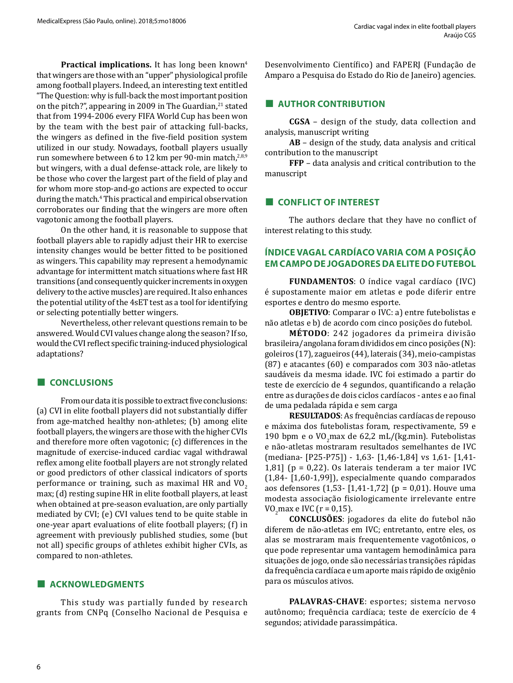Practical implications. It has long been known<sup>4</sup> that wingers are those with an "upper" physiological profile among football players. Indeed, an interesting text entitled "The Question: why is full-back the most important position on the pitch?", appearing in 2009 in The Guardian,<sup>21</sup> stated that from 1994-2006 every FIFA World Cup has been won by the team with the best pair of attacking full-backs, the wingers as defined in the five-field position system utilized in our study. Nowadays, football players usually run somewhere between 6 to 12 km per 90-min match,<sup>2,8,9</sup> but wingers, with a dual defense-attack role, are likely to be those who cover the largest part of the field of play and for whom more stop-and-go actions are expected to occur during the match.4 This practical and empirical observation corroborates our finding that the wingers are more often vagotonic among the football players.

On the other hand, it is reasonable to suppose that football players able to rapidly adjust their HR to exercise intensity changes would be better fitted to be positioned as wingers. This capability may represent a hemodynamic advantage for intermittent match situations where fast HR transitions (and consequently quicker increments in oxygen delivery to the active muscles) are required. It also enhances the potential utility of the 4sET test as a tool for identifying or selecting potentially better wingers.

Nevertheless, other relevant questions remain to be answered. Would CVI values change along the season? If so, would the CVI reflect specific training-induced physiological adaptations?

### **■ CONCLUSIONS**

From our data it is possible to extract five conclusions: (a) CVI in elite football players did not substantially differ from age-matched healthy non-athletes; (b) among elite football players, the wingers are those with the higher CVIs and therefore more often vagotonic; (c) differences in the magnitude of exercise-induced cardiac vagal withdrawal reflex among elite football players are not strongly related or good predictors of other classical indicators of sports performance or training, such as maximal HR and  $VO<sub>2</sub>$ max; (d) resting supine HR in elite football players, at least when obtained at pre-season evaluation, are only partially mediated by CVI; (e) CVI values tend to be quite stable in one-year apart evaluations of elite football players; (f) in agreement with previously published studies, some (but not all) specific groups of athletes exhibit higher CVIs, as compared to non-athletes.

### **■ ACKNOWLEDGMENTS**

This study was partially funded by research grants from CNPq (Conselho Nacional de Pesquisa e Desenvolvimento Científico) and FAPERJ (Fundação de Amparo a Pesquisa do Estado do Rio de Janeiro) agencies.

## **■ AUTHOR CONTRIBUTION**

**CGSA** – design of the study, data collection and analysis, manuscript writing

**AB** – design of the study, data analysis and critical contribution to the manuscript

**FFP** – data analysis and critical contribution to the manuscript

### **■ CONFLICT OF INTEREST**

The authors declare that they have no conflict of interest relating to this study.

# **ÍNDICE VAGAL CARDÍACO VARIA COM A POSIÇÃO EM CAMPO DE JOGADORES DA ELITE DO FUTEBOL**

**FUNDAMENTOS**: O índice vagal cardíaco (IVC) é supostamente maior em atletas e pode diferir entre esportes e dentro do mesmo esporte.

**OBJETIVO**: Comparar o IVC: a) entre futebolistas e não atletas e b) de acordo com cinco posições do futebol.

**MÉTODO**: 242 jogadores da primeira divisão brasileira/angolana foram divididos em cinco posições (N): goleiros (17), zagueiros (44), laterais (34), meio-campistas (87) e atacantes (60) e comparados com 303 não-atletas saudáveis da mesma idade. IVC foi estimado a partir do teste de exercício de 4 segundos, quantificando a relação entre as durações de dois ciclos cardíacos - antes e ao final de uma pedalada rápida e sem carga

**RESULTADOS**: As frequências cardíacas de repouso e máxima dos futebolistas foram, respectivamente, 59 e 190 bpm e o  $VO<sub>2</sub>$ max de 62,2 mL/(kg.min). Futebolistas e não-atletas mostraram resultados semelhantes de IVC (mediana- [P25-P75]) - 1,63- [1,46-1,84] vs 1,61- [1,41- 1,81] ( $p = 0.22$ ). Os laterais tenderam a ter maior IVC (1,84- [1,60-1,99]), especialmente quando comparados aos defensores (1,53- [1,41-1,72] (p = 0,01). Houve uma modesta associação fisiologicamente irrelevante entre  $VO<sub>2</sub>$  max e IVC (r = 0,15).

**CONCLUSÕES**: jogadores da elite do futebol não diferem de não-atletas em IVC; entretanto, entre eles, os alas se mostraram mais frequentemente vagotônicos, o que pode representar uma vantagem hemodinâmica para situações de jogo, onde são necessárias transições rápidas da frequência cardíaca e um aporte mais rápido de oxigênio para os músculos ativos.

**PALAVRAS-CHAVE**: esportes; sistema nervoso autônomo; frequência cardíaca; teste de exercício de 4 segundos; atividade parassimpática.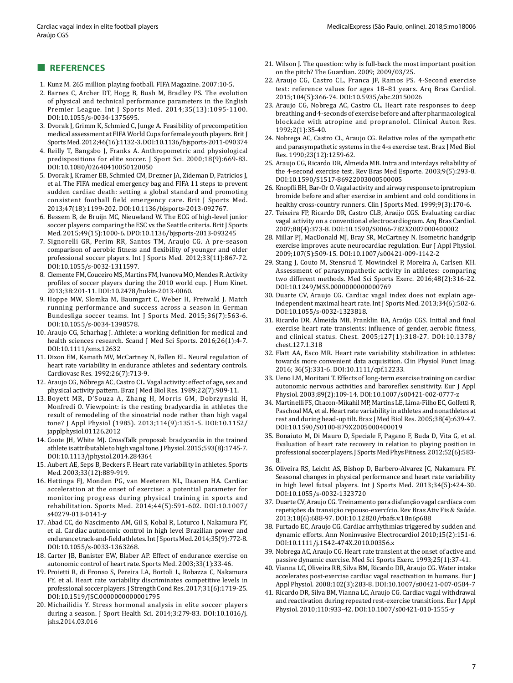#### **■ REFERENCES**

- 1. Kunz M. 265 million playing football. FIFA Magazine. 2007:10-5.
- 2. Barnes C, Archer DT, Hogg B, Bush M, Bradley PS. The evolution of physical and technical performance parameters in the English Premier League. Int J Sports Med. 2014;35(13):1095-1100. DOI:10.1055/s-0034-1375695.
- 3. Dvorak J, Grimm K, Schmied C, Junge A. Feasibility of precompetition medical assessment at FIFA World Cups for female youth players. Brit J Sports Med. 2012;46(16):1132-3. DOI:10.1136/bjsports-2011-090374
- 4. Reilly T, Bangsbo J, Franks A. Anthropometric and physiological predispositions for elite soccer. J Sport Sci. 2000;18(9):669-83. DOI:10.1080/02640410050120050
- 5. Dvorak J, Kramer EB, Schmied CM, Drezner JA, Zideman D, Patricios J, et al. The FIFA medical emergency bag and FIFA 11 steps to prevent sudden cardiac death: setting a global standard and promoting consistent football field emergency care. Brit J Sports Med. 2013;47(18):1199-202. DOI:10.1136/bjsports-2013-092767.
- 6. Bessem B, de Bruijn MC, Nieuwland W. The ECG of high-level junior soccer players: comparing the ESC vs the Seattle criteria. Brit J Sports Med. 2015;49(15):1000-6. DPO:10.1136/bjsports-2013-093245
- 7. Signorelli GR, Perim RR, Santos TM, Araujo CG. A pre-season comparison of aerobic fitness and flexibility of younger and older professional soccer players. Int J Sports Med. 2012;33(11):867-72. DOI:10.1055/s-0032-1311597.
- 8. Clemente FM, Couceiro MS, Martins FM, Ivanova MO, Mendes R. Activity profiles of soccer players during the 2010 world cup. J Hum Kinet. 2013;38:201-11. DOI:10.2478/hukin-2013-0060.
- 9. Hoppe MW, Slomka M, Baumgart C, Weber H, Freiwald J. Match running performance and success across a season in German Bundesliga soccer teams. Int J Sports Med. 2015;36(7):563-6. DOI:10.1055/s-0034-1398578.
- 10. Araujo CG, Scharhag J. Athlete: a working definition for medical and health sciences research. Scand J Med Sci Sports. 2016;26(1):4-7. DOI:10.1111/sms.12632
- 11. Dixon EM, Kamath MV, McCartney N, Fallen EL. Neural regulation of heart rate variability in endurance athletes and sedentary controls. Cardiovasc Res. 1992;26(7):713-9.
- 12. Araujo CG, Nóbrega AC, Castro CL. Vagal activity: effect of age, sex and physical activity pattern. Braz J Med Biol Res. 1989;22(7):909-11.
- 13. Boyett MR, D'Souza A, Zhang H, Morris GM, Dobrzynski H, Monfredi O. Viewpoint: is the resting bradycardia in athletes the result of remodeling of the sinoatrial node rather than high vagal tone? J Appl Physiol (1985). 2013;114(9):1351-5. DOI:10.1152/ japplphysiol.01126.2012
- 14. Coote JH, White MJ. CrossTalk proposal: bradycardia in the trained athlete is attributable to high vagal tone. J Physiol. 2015;593(8):1745-7. DOI:10.1113/jphysiol.2014.284364
- 15. Aubert AE, Seps B, Beckers F. Heart rate variability in athletes. Sports Med. 2003;33(12):889-919.
- 16. Hettinga FJ, Monden PG, van Meeteren NL, Daanen HA. Cardiac acceleration at the onset of exercise: a potential parameter for monitoring progress during physical training in sports and rehabilitation. Sports Med. 2014;44(5):591-602. DOI:10.1007/ s40279-013-0141-y
- 17. Abad CC, do Nascimento AM, Gil S, Kobal R, Loturco I, Nakamura FY, et al. Cardiac autonomic control in high level Brazilian power and endurance track-and-field athletes. Int J Sports Med. 2014;35(9):772-8. DOI:10.1055/s-0033-1363268.
- 18. Carter JB, Banister EW, Blaber AP. Effect of endurance exercise on autonomic control of heart rate. Sports Med. 2003;33(1):33-46.
- 19. Proietti R, di Fronso S, Pereira LA, Bortoli L, Robazza C, Nakamura FY, et al. Heart rate variability discriminates competitive levels in professional soccer players. J Strength Cond Res. 2017;31(6):1719-25. DOI:10.1519/JSC.0000000000001795
- 20. Michailidis Y. Stress hormonal analysis in elite soccer players during a season. J Sport Health Sci. 2014;3:279-83. DOI:10.1016/j. jshs.2014.03.016
- 21. Wilson J. The question: why is full-back the most important position on the pitch? The Guardian. 2009; 2009/03/25.
- 22. Araujo CG, Castro CL, Franca JF, Ramos PS. 4-Second exercise test: reference values for ages 18–81 years. Arq Bras Cardiol. 2015;104(5):366-74. DOI:10.5935/abc.20150026
- 23. Araujo CG, Nobrega AC, Castro CL. Heart rate responses to deep breathing and 4-seconds of exercise before and after pharmacological blockade with atropine and propranolol. Clinical Auton Res. 1992;2(1):35-40.
- 24. Nobrega AC, Castro CL, Araujo CG. Relative roles of the sympathetic and parasympathetic systems in the 4-s exercise test. Braz J Med Biol Res. 1990;23(12):1259-62.
- 25. Araujo CG, Ricardo DR, Almeida MB. Intra and interdays reliability of the 4-second exercise test. Rev Bras Med Esporte. 2003;9(5):293-8. DOI:10.1590/S1517-86922003000500005
- 26. Knopfli BH, Bar-Or O. Vagal activity and airway response to ipratropium bromide before and after exercise in ambient and cold conditions in healthy cross-country runners. Clin J Sports Med. 1999;9(3):170-6.
- 27. Teixeira FP, Ricardo DR, Castro CLB, Araújo CGS. Evaluating cardiac vagal activity on a conventional electrocardiogram. Arq Bras Cardiol. 2007;88(4):373-8. DOI:10.1590/S0066-782X2007000400002
- 28. Millar PJ, MacDonald MJ, Bray SR, McCartney N. Isometric handgrip exercise improves acute neurocardiac regulation. Eur J Appl Physiol. 2009;107(5):509-15. DOI:10.1007/s00421-009-1142-2
- 29. Stang J, Couto M, Stensrud T, Mowinckel P, Moreira A, Carlsen KH. Assessment of parasympathetic activity in athletes: comparing two different methods. Med Sci Sports Exerc. 2016;48(2):316-22. DOI:10.1249/MSS.0000000000000769
- 30. Duarte CV, Araujo CG. Cardiac vagal index does not explain ageindependent maximal heart rate. Int J Sports Med. 2013;34(6):502-6. DOI:10.1055/s-0032-1323818.
- 31. Ricardo DR, Almeida MB, Franklin BA, Araújo CGS. Initial and final exercise heart rate transients: influence of gender, aerobic fitness, and clinical status. Chest. 2005;127(1):318-27. DOI:10.1378/ chest.127.1.318
- 32. Flatt AA, Esco MR. Heart rate variability stabilization in athletes: towards more convenient data acquisition. Clin Physiol Funct Imag. 2016; 36(5):331-6. DOI:10.1111/cpf.12233.
- 33. Ueno LM, Moritani T. Effects of long-term exercise training on cardiac autonomic nervous activities and baroreflex sensitivity. Eur J Appl Physiol. 2003;89(2):109-14. DOI:10.1007/s00421-002-0777-z
- 34. Martinelli FS, Chacon-Mikahil MP, Martins LE, Lima-Filho EC, Golfetti R, Paschoal MA, et al. Heart rate variability in athletes and nonathletes at rest and during head-up tilt. Braz J Med Biol Res. 2005;38(4):639-47. DOI:10.1590/S0100-879X2005000400019
- 35. Bonaiuto M, Di Mauro D, Speciale F, Pagano F, Buda D, Vita G, et al. Evaluation of heart rate recovery in relation to playing position in professional soccer players. J Sports Med Phys Fitness. 2012;52(6):583- 8.
- 36. Oliveira RS, Leicht AS, Bishop D, Barbero-Alvarez JC, Nakamura FY. Seasonal changes in physical performance and heart rate variability in high level futsal players. Int J Sports Med. 2013;34(5):424-30. DOI:10.1055/s-0032-1323720
- 37. Duarte CV, Araujo CG. Treinamento para disfunção vagal cardíaca com repetições da transição repouso-exercício. Rev Bras Ativ Fis & Saúde. 2013;18(6):688-97. DOI:10.12820/rbafs.v.18n6p688
- 38. Furtado EC, Araujo CG. Cardiac arrhythmias triggered by sudden and dynamic efforts. Ann Noninvasive Electrocardiol 2010;15(2):151-6. DOI:10.1111/j.1542-474X.2010.00356.x
- 39. Nobrega AC, Araujo CG. Heart rate transient at the onset of active and passive dynamic exercise. Med Sci Sports Exerc. 1993;25(1):37-41.
- 40. Vianna LC, Oliveira RB, Silva BM, Ricardo DR, Araujo CG. Water intake accelerates post-exercise cardiac vagal reactivation in humans. Eur J Appl Physiol. 2008;102(3):283-8. DOI:10.1007/s00421-007-0584-7
- 41. Ricardo DR, Silva BM, Vianna LC, Araujo CG. Cardiac vagal withdrawal and reactivation during repeated rest-exercise transitions. Eur J Appl Physiol. 2010;110:933-42. DOI:10.1007/s00421-010-1555-y